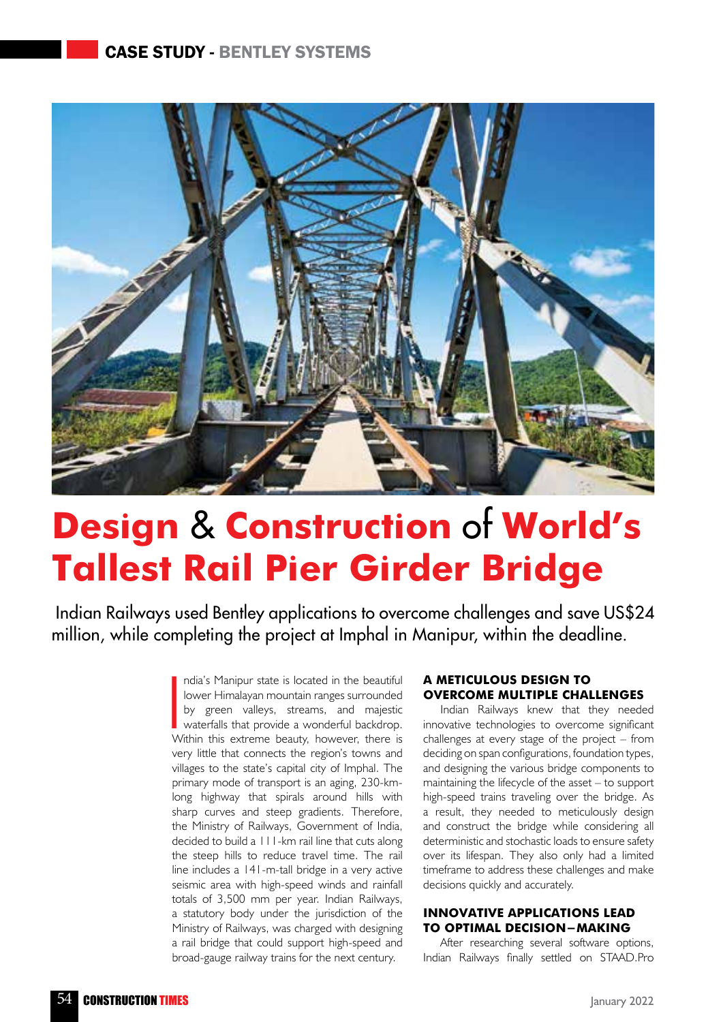## Case Study - Bentley Systems



# **Design** & **Construction** of **World's Tallest Rail Pier Girder Bridge**

 Indian Railways used Bentley applications to overcome challenges and save US\$24 million, while completing the project at Imphal in Manipur, within the deadline.

> India's Manipur state is located in the beautiful<br>lower Himalayan mountain ranges surrounded<br>by green valleys, streams, and majestic<br>waterfalls that provide a wonderful backdrop.<br>Within this extreme beauty, however, there ndia's Manipur state is located in the beautiful lower Himalayan mountain ranges surrounded by green valleys, streams, and majestic waterfalls that provide a wonderful backdrop. very little that connects the region's towns and villages to the state's capital city of Imphal. The primary mode of transport is an aging, 230-kmlong highway that spirals around hills with sharp curves and steep gradients. Therefore, the Ministry of Railways, Government of India, decided to build a 111-km rail line that cuts along the steep hills to reduce travel time. The rail line includes a 141-m-tall bridge in a very active seismic area with high-speed winds and rainfall totals of 3,500 mm per year. Indian Railways, a statutory body under the jurisdiction of the Ministry of Railways, was charged with designing a rail bridge that could support high-speed and broad-gauge railway trains for the next century.

#### **A meticulous design to overcome multiple challenges**

Indian Railways knew that they needed innovative technologies to overcome significant challenges at every stage of the project – from deciding on span configurations, foundation types, and designing the various bridge components to maintaining the lifecycle of the asset – to support high-speed trains traveling over the bridge. As a result, they needed to meticulously design and construct the bridge while considering all deterministic and stochastic loads to ensure safety over its lifespan. They also only had a limited timeframe to address these challenges and make decisions quickly and accurately.

#### **Innovative applications lead to optimal decision-making**

After researching several software options, Indian Railways finally settled on STAAD.Pro